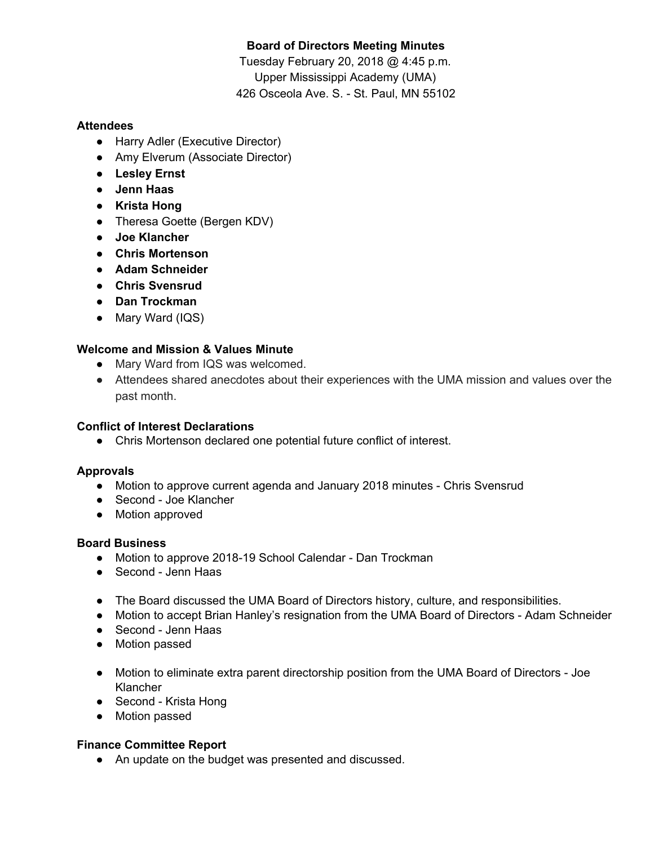# **Board of Directors Meeting Minutes**

Tuesday February 20, 2018 @ 4:45 p.m. Upper Mississippi Academy (UMA) 426 Osceola Ave. S. - St. Paul, MN 55102

## **Attendees**

- Harry Adler (Executive Director)
- Amy Elverum (Associate Director)
- **● Lesley Ernst**
- **● Jenn Haas**
- **● Krista Hong**
- Theresa Goette (Bergen KDV)
- **● Joe Klancher**
- **● Chris Mortenson**
- **● Adam Schneider**
- **● Chris Svensrud**
- **● Dan Trockman**
- Mary Ward (IQS)

# **Welcome and Mission & Values Minute**

- Mary Ward from IQS was welcomed.
- Attendees shared anecdotes about their experiences with the UMA mission and values over the past month.

## **Conflict of Interest Declarations**

● Chris Mortenson declared one potential future conflict of interest.

## **Approvals**

- Motion to approve current agenda and January 2018 minutes Chris Svensrud
- Second Joe Klancher
- Motion approved

### **Board Business**

- Motion to approve 2018-19 School Calendar Dan Trockman
- Second Jenn Haas
- The Board discussed the UMA Board of Directors history, culture, and responsibilities.
- Motion to accept Brian Hanley's resignation from the UMA Board of Directors Adam Schneider
- Second Jenn Haas
- Motion passed
- Motion to eliminate extra parent directorship position from the UMA Board of Directors Joe Klancher
- Second Krista Hong
- Motion passed

### **Finance Committee Report**

● An update on the budget was presented and discussed.